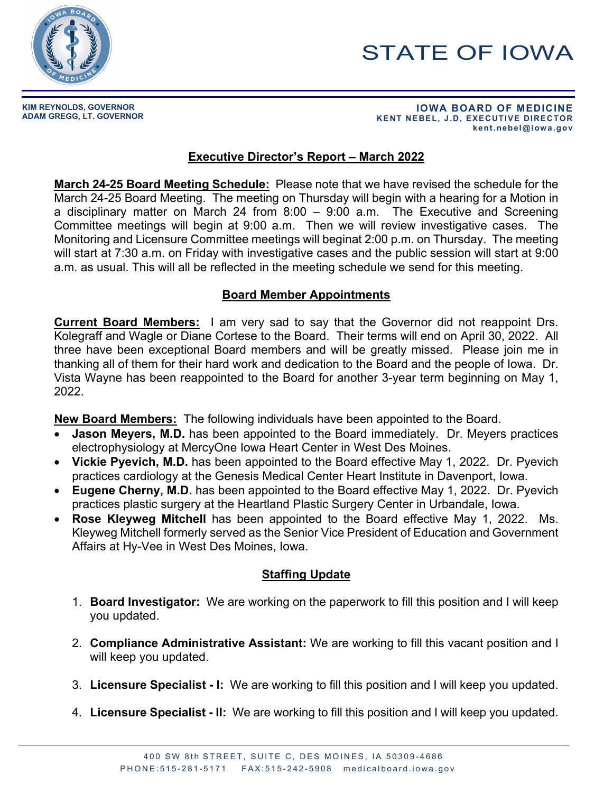

# STATE OF IOWA

**KIM REYNOLDS, GOVERNOR**

**ADAM GREGG, LT. GOVERNOR IOWA BOARD OF MEDICINE KENT NEBEL, J.D, EXECUTIVE DIRECTOR kent.nebel@iowa.gov** 

## **Executive Director's Report – March 2022**

**March 24-25 Board Meeting Schedule:** Please note that we have revised the schedule for the March 24-25 Board Meeting. The meeting on Thursday will begin with a hearing for a Motion in a disciplinary matter on March 24 from 8:00 – 9:00 a.m. The Executive and Screening Committee meetings will begin at 9:00 a.m. Then we will review investigative cases. The Monitoring and Licensure Committee meetings will beginat 2:00 p.m. on Thursday. The meeting will start at 7:30 a.m. on Friday with investigative cases and the public session will start at 9:00 a.m. as usual. This will all be reflected in the meeting schedule we send for this meeting.

#### **Board Member Appointments**

**Current Board Members:** I am very sad to say that the Governor did not reappoint Drs. Kolegraff and Wagle or Diane Cortese to the Board. Their terms will end on April 30, 2022. All three have been exceptional Board members and will be greatly missed. Please join me in thanking all of them for their hard work and dedication to the Board and the people of Iowa. Dr. Vista Wayne has been reappointed to the Board for another 3-year term beginning on May 1, 2022.

**New Board Members:** The following individuals have been appointed to the Board.

- **Jason Meyers, M.D.** has been appointed to the Board immediately. Dr. Meyers practices electrophysiology at MercyOne Iowa Heart Center in West Des Moines.
- **Vickie Pyevich, M.D.** has been appointed to the Board effective May 1, 2022. Dr. Pyevich practices cardiology at the Genesis Medical Center Heart Institute in Davenport, Iowa.
- **Eugene Cherny, M.D.** has been appointed to the Board effective May 1, 2022. Dr. Pyevich practices plastic surgery at the Heartland Plastic Surgery Center in Urbandale, Iowa.
- **Rose Kleyweg Mitchell** has been appointed to the Board effective May 1, 2022. Ms. Kleyweg Mitchell formerly served as the Senior Vice President of Education and Government Affairs at Hy-Vee in West Des Moines, Iowa.

### **Staffing Update**

- 1. **Board Investigator:** We are working on the paperwork to fill this position and I will keep you updated.
- 2. **Compliance Administrative Assistant:** We are working to fill this vacant position and I will keep you updated.
- 3. **Licensure Specialist - I:** We are working to fill this position and I will keep you updated.
- 4. **Licensure Specialist - II:** We are working to fill this position and I will keep you updated.